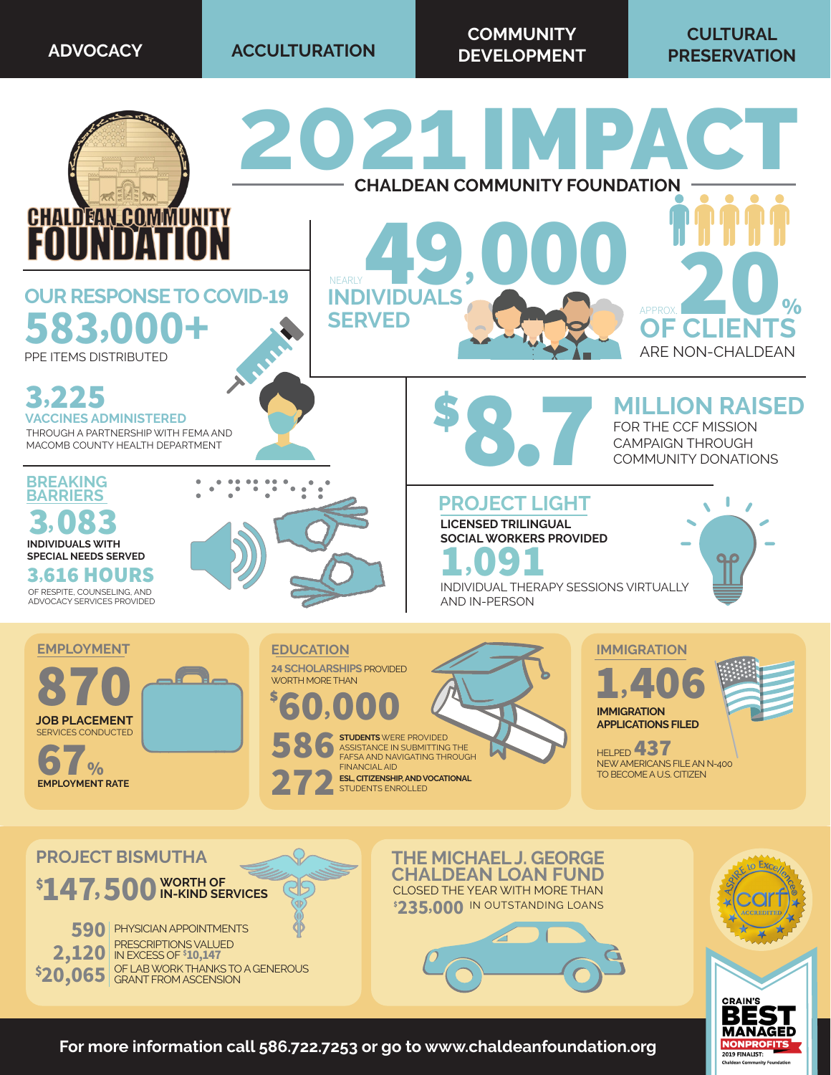**ADVOCACY ACCULTURATION**

**COMMUNITY DEVELOPMENT**

## **CULTURAL PRESERVATION**



**For more information call 586.722.7253 or go to www.chaldeanfoundation.org**